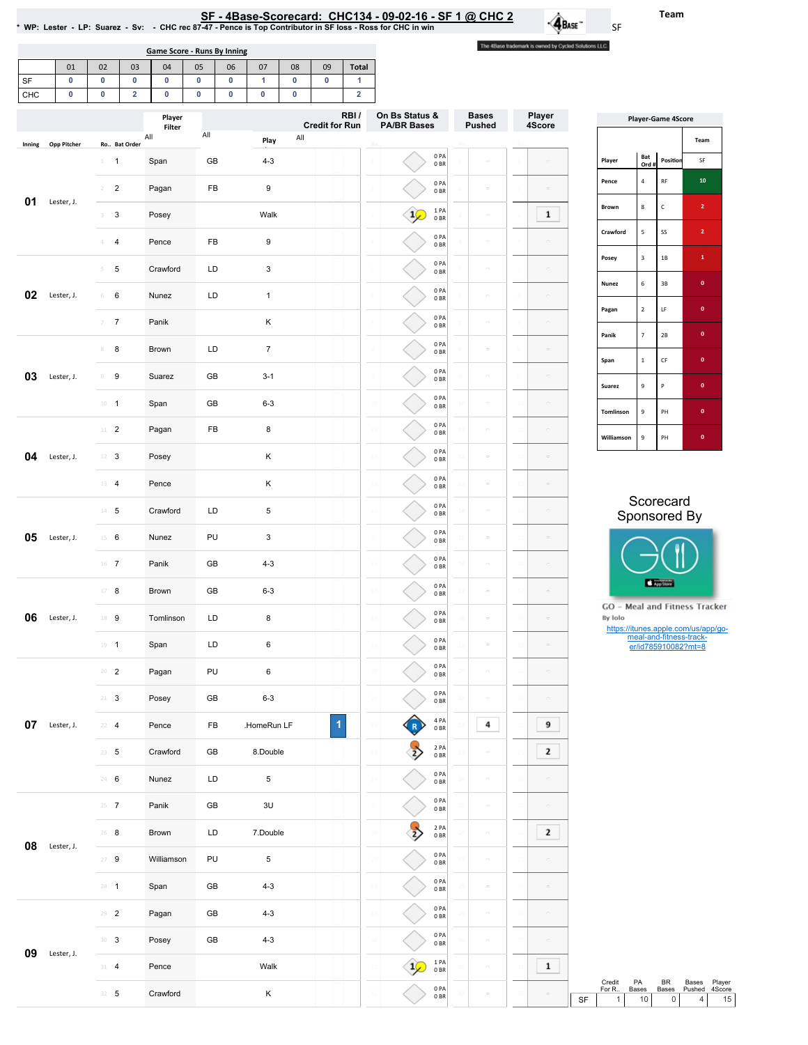## SF-4Base-Scorecard: CHC134 - 09-02-16 - SF 1 @ CHC 2<br>\* WP: Lester - LP: Suarez - Sv: - CHC rec 87-47 - Pence is Top Contributor in SF loss - Ross for CHC in win

01 02 03 04 05 06 07 08 09 Total

Game Score - Runs By Inning

 $\overline{\phantom{a}}$ 

Т

The 4Base trademark is owned by Cycled Solutions LLC.

 $\mathbf{\hat{A}}$ Base

| SF               | 0                                     | 0<br>$\pmb{0}$      | 0<br>$\mathbf 2$ | 0                                   | 0         | 0<br>$\mathbf 0$ | 1              | 0 | 0                    | 1<br>$\overline{\mathbf{2}}$ |                                            |                           |                  |                                                                                       |                         |                                                 |                                     |  |  |
|------------------|---------------------------------------|---------------------|------------------|-------------------------------------|-----------|------------------|----------------|---|----------------------|------------------------------|--------------------------------------------|---------------------------|------------------|---------------------------------------------------------------------------------------|-------------------------|-------------------------------------------------|-------------------------------------|--|--|
| CHC              | $\mathbf 0$                           |                     |                  | $\pmb{0}$<br>Player                 | $\pmb{0}$ |                  | $\pmb{0}$      | 0 |                      | RBI/                         | On Bs Status &                             | <b>Bases</b>              | Player           |                                                                                       |                         |                                                 |                                     |  |  |
| Filter<br>All    |                                       |                     |                  | <b>Credit for Run</b><br>All<br>All |           |                  |                |   | <b>PA/BR Bases</b>   | <b>Pushed</b>                | 4Score                                     | <b>Player-Game 4Score</b> |                  |                                                                                       |                         |                                                 |                                     |  |  |
| Inning           | <b>Opp Pitcher</b>                    |                     | Ro Bat Order     |                                     |           |                  | Play           |   |                      |                              | 0 PA                                       |                           |                  |                                                                                       | Bat                     |                                                 | Team                                |  |  |
| 01<br>Lester, J. | $1 \quad 1$                           |                     | Span             |                                     | GB        | $4 - 3$          |                |   |                      | 0B<br>0PA                    | $\equiv$                                   | $\equiv$                  | Player<br>Pence  | Ord#<br>$\overline{4}$                                                                | Position<br>RF          | $\ensuremath{\mathsf{SF}}\xspace$<br>${\bf 10}$ |                                     |  |  |
|                  | $\overline{2}$<br>$2 -$               |                     | Pagan            |                                     | FB        | 9                |                |   |                      | 0B                           | $\equiv$                                   | $\hfill \square$          | Brown            | $\bf8$                                                                                | c                       | $\mathbf{2}^{\circ}$                            |                                     |  |  |
|                  | $\sqrt{3}$<br>$\overline{\mathbf{3}}$ |                     | Posey            |                                     |           | Walk             |                |   |                      | 1PA<br>$\frac{1}{2}$<br>0BR  | $\equiv$                                   | 1                         | Crawford         | $\sqrt{5}$                                                                            | SS                      | $\mathbf{2}^-$                                  |                                     |  |  |
|                  |                                       | $\overline{4}$<br>4 |                  | Pence                               |           | FB               | 9              |   |                      |                              | 0 PA<br>0 <sub>BR</sub>                    | $\equiv$                  | $\equiv$         | Posey                                                                                 | $\overline{\mathbf{3}}$ | $1\mathsf{B}$                                   | $\mathbf{1}$                        |  |  |
|                  |                                       | 5<br>$5 -$          |                  | Crawford                            |           | LD               | 3              |   |                      |                              | $0$ PA<br>$0\;\mathrm{BR}$                 | $\equiv$                  | $\equiv$         | Nunez                                                                                 | $\,$ 6                  | 3B                                              | $\mathbf 0$                         |  |  |
| 02               | Lester, J.                            | 6<br>6              |                  | Nunez                               |           | LD               | $\mathbf{1}$   |   |                      |                              | 0PA<br>0B                                  | $\equiv$                  | $\hfill \square$ | Pagan                                                                                 | $\mathbf 2$             | LF                                              | $\mathbf{0}^-$                      |  |  |
|                  |                                       | $7-7$               |                  | Panik                               |           |                  | Κ              |   |                      |                              | 0PA<br>0 <sub>BR</sub>                     | $\equiv$                  | $\hspace{0.1mm}$ | Panik                                                                                 | $\overline{7}$          | $2\mathsf{B}$                                   | $\mathbf 0$                         |  |  |
|                  |                                       | 8<br>8              |                  | <b>Brown</b>                        |           | LD               | $\overline{7}$ |   |                      |                              | 0PA<br>0BR                                 | $\equiv$                  | $\equiv$         | Span                                                                                  | $\,$ 1                  | $\mathsf{CF}$                                   | $\mathbf{0}^-$                      |  |  |
| 03               | Lester, J.                            | 9<br>9              |                  | Suarez                              |           | GB               | $3 - 1$        |   |                      |                              | 0PA<br>0B                                  | $\equiv$                  | $\equiv$         | Suarez                                                                                | $\,9$                   | P                                               | $\mathbf{0}^-$                      |  |  |
|                  |                                       | $10 - 1$            |                  | Span                                |           | GB               | $6 - 3$        |   |                      |                              | 0PA<br>0BR                                 | $\equiv$                  | $\equiv$         | Tomlinson                                                                             | $\,9$                   | PH                                              | $\bullet$                           |  |  |
|                  |                                       | $11$ 2              |                  | Pagan                               |           | FB               | 8              |   |                      |                              | 0PA<br>0B                                  | $\equiv$                  | $\sim$           | Williamson                                                                            | $\,9$                   | PH                                              | $\mathbf{0}$                        |  |  |
| 04               | Lester, J.                            | 12 <sup>2</sup>     |                  | Posey                               |           |                  | Κ              |   |                      |                              | $0$ PA<br>0BR                              | $\equiv$                  | $\equiv$         |                                                                                       |                         |                                                 |                                     |  |  |
|                  |                                       | 13 4                |                  | Pence                               |           |                  | Κ              |   |                      |                              | 0PA<br>0B                                  | $\equiv$                  | $\equiv$         |                                                                                       |                         |                                                 |                                     |  |  |
|                  | Lester, J.                            | $14 - 5$            |                  | Crawford                            |           | LD               | 5              |   |                      |                              | 0 PA<br>$0\;\mathrm{BR}$                   | $\equiv$                  | $\equiv$         | Scorecard<br>Sponsored By                                                             |                         |                                                 |                                     |  |  |
| 05               |                                       | $15 \t 6$           |                  | Nunez                               |           | PU               | 3              |   |                      |                              | 0PA<br>0BR                                 | $\equiv$                  | $\hspace{0.1mm}$ |                                                                                       |                         |                                                 |                                     |  |  |
|                  |                                       | $16$ 7              |                  | Panik                               |           | GB               | $4 - 3$        |   |                      |                              | 0PA<br>$0\;\mathrm{BR}$                    | $\equiv$                  | $\equiv$         |                                                                                       |                         |                                                 |                                     |  |  |
|                  |                                       | 17 8                |                  | <b>Brown</b>                        |           | GB               | $6 - 3$        |   |                      |                              | $0$ PA<br>$0\;\mathrm{BR}$                 | $\equiv$                  | $\equiv$         | App Store                                                                             |                         |                                                 |                                     |  |  |
| 06               | Lester, J.                            | 18 9                |                  | Tomlinson                           |           | LD               | 8              |   |                      |                              | 0PA<br>0B                                  | $\equiv$                  | $\equiv$         | GO - Meal and Fitness Tracker<br>By Iolo                                              |                         |                                                 |                                     |  |  |
|                  |                                       | $19 - 1$            |                  | Span                                |           | LD               | 6              |   |                      |                              | 0 PA<br>$0\;\mathrm{BR}$                   | $\equiv$                  | $\equiv$         | https://itunes.apple.com/us/app/go-<br>meal-and-fitness-track-<br>er/id785910082?mt=8 |                         |                                                 |                                     |  |  |
|                  |                                       | $20$ – $\pmb{2}$    |                  | Pagan                               |           | PU               | 6              |   |                      |                              | 0PA<br>0 B R                               |                           |                  |                                                                                       |                         |                                                 |                                     |  |  |
|                  |                                       | $21 - 3$            |                  | Posey                               |           | GB               | $6 - 3$        |   |                      |                              | 0 PA<br>$0\;\mathrm{BR}$                   | $\equiv$                  | $\equiv$         |                                                                                       |                         |                                                 |                                     |  |  |
| 07               | Lester, J.                            | $22 - 4$            |                  | Pence                               |           | FB               | .HomeRun LF    |   | $\blacktriangleleft$ |                              | 4 PA<br>R<br>0 B R                         | 4                         | 9                |                                                                                       |                         |                                                 |                                     |  |  |
|                  |                                       | $23 - 5$            |                  | Crawford                            |           | GB               | 8.Double       |   |                      |                              | 2 PA<br>$\overline{2}$<br>0 B R            | $\equiv$                  | $\mathbf{2}$     |                                                                                       |                         |                                                 |                                     |  |  |
|                  |                                       | 24 6                |                  | Nunez                               |           | LD               | 5              |   |                      |                              | 0 PA<br>0 B R                              | $\equiv$                  | $\equiv$         |                                                                                       |                         |                                                 |                                     |  |  |
|                  |                                       | $25 \t{7}$          |                  | Panik                               |           | GB               | 3U             |   |                      |                              | 0PA<br>0 B R                               | $\equiv$                  | $\equiv$         |                                                                                       |                         |                                                 |                                     |  |  |
|                  |                                       | $26 - 8$            |                  | Brown                               |           | LD               | 7.Double       |   |                      |                              | 2 PA<br>$\overline{2}$<br>$0\;\mathrm{BR}$ | $\equiv$                  | $\mathbf{2}$     |                                                                                       |                         |                                                 |                                     |  |  |
| 08               | Lester, J.                            | $27 - 9$            |                  | Williamson                          |           | PU               | 5              |   |                      |                              | $0$ PA<br>0 B R                            | $\equiv$                  | $\equiv$         |                                                                                       |                         |                                                 |                                     |  |  |
|                  |                                       | $28 - 1$            |                  | Span                                |           | GB               | $4 - 3$        |   |                      |                              | $0$ PA<br>0 B R                            | $\equiv$                  | $\equiv$         |                                                                                       |                         |                                                 |                                     |  |  |
|                  |                                       | $29 - 2$            |                  | Pagan                               |           | GB               | $4 - 3$        |   |                      |                              | $0$ PA<br>0 B R                            | $\equiv$                  | $\hfill \square$ |                                                                                       |                         |                                                 |                                     |  |  |
|                  |                                       | $30-3$              |                  | Posey                               |           | GB               | $4 - 3$        |   |                      |                              | 0PA                                        | $\equiv$                  | $\equiv$         |                                                                                       |                         |                                                 |                                     |  |  |
| 09               | Lester, J.                            | $31 \t 4$           |                  | Pence                               |           |                  | Walk           |   |                      |                              | 0 B R<br>1PA<br>$\mathbf{1}$               | $\equiv$                  | 1                |                                                                                       |                         |                                                 |                                     |  |  |
|                  |                                       |                     |                  |                                     |           |                  |                |   |                      |                              | $0\;\mathrm{BR}$<br>0 PA                   |                           |                  | Credit<br>For R                                                                       | PA<br>Bases             | BR<br>Bases                                     | Player<br>4Score<br>Bases<br>Pushed |  |  |
|                  |                                       | $32 - 5$            |                  | Crawford                            |           |                  | Κ              |   |                      |                              | $0\;\mathrm{BR}$                           | $\equiv$                  |                  | SF<br>-1                                                                              | 10                      | $\mathsf{O}\xspace$                             | 4                                   |  |  |

### Bat Ord Positi Team SF  $4$  RF  $\begin{array}{c|c} 8 & C \end{array}$  $5$  SS  $\overline{3}$  1B  $6$  3B  $2$  LF  $7$  2B  $1$  CF  $9$  P 9 PH 9 PH Player-Game 4Score

#### Scorecard ponsored By



Player 4Score

Team

SF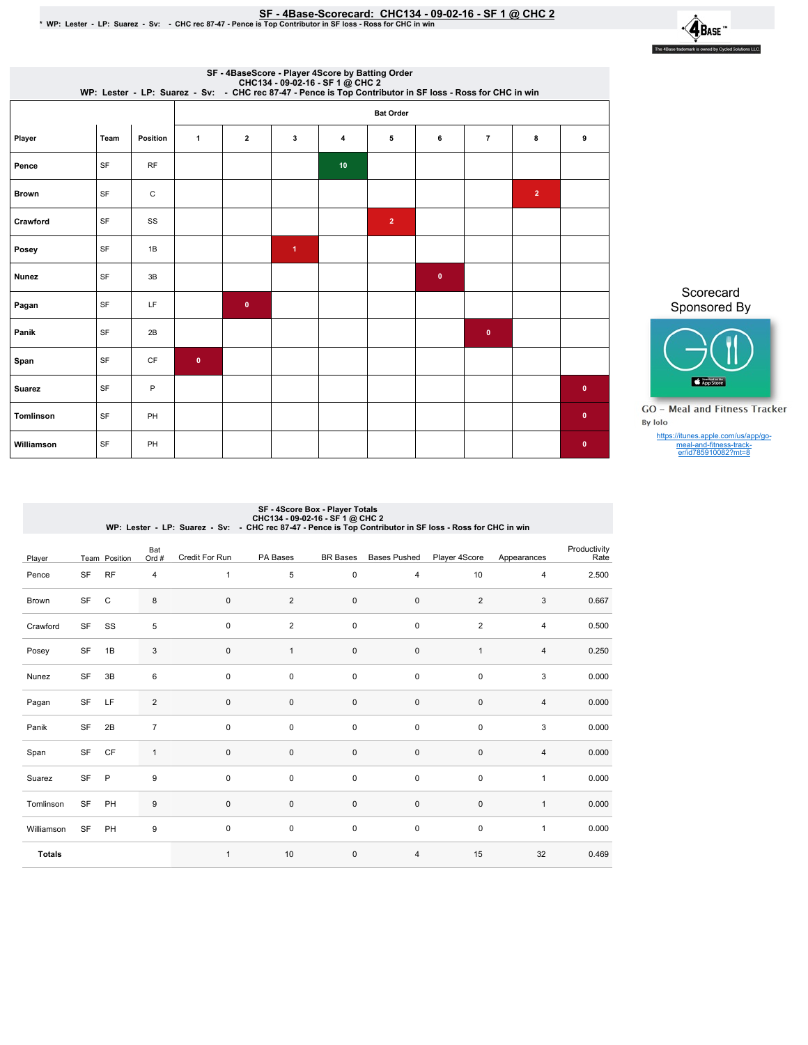## SF - 4Base-Scorecard: CHC134 - 09-02-16 - SF 1 @ CHC 2 - 19-02-16<br>\* WP: Lester - LP: Suarez - Sv: - CHC rec 87-47 - Pence is Top Contributor in SF loss - Ross for CHC in win

 $\cdot \mathbf{Q}_{\text{Base}}$ The 4Base trademark is owned by Cycled Solutions LLC.

|                  | SF - 4BaseScore - Player 4Score by Batting Order<br>WP: Lester - LP: Suarez - Sv: - CHC134 - 09-02-16 - SF 1 @ CHC 2<br>WP: Lester - LP: Suarez - Sv: - CHC rec 87-47 - Pence is Top Contributor in SF loss - Ross for CHC in win |              |                  |                         |                      |    |                |           |                |                |             |  |  |  |
|------------------|-----------------------------------------------------------------------------------------------------------------------------------------------------------------------------------------------------------------------------------|--------------|------------------|-------------------------|----------------------|----|----------------|-----------|----------------|----------------|-------------|--|--|--|
|                  |                                                                                                                                                                                                                                   |              | <b>Bat Order</b> |                         |                      |    |                |           |                |                |             |  |  |  |
| Player           | Team                                                                                                                                                                                                                              | Position     | $\mathbf{1}$     | $\overline{\mathbf{2}}$ | 3                    | 4  | 5              | 6         | $\overline{7}$ | 8              | 9           |  |  |  |
| Pence            | <b>SF</b>                                                                                                                                                                                                                         | RF           |                  |                         |                      | 10 |                |           |                |                |             |  |  |  |
| <b>Brown</b>     | SF                                                                                                                                                                                                                                | $\mathtt{C}$ |                  |                         |                      |    |                |           |                | $\overline{2}$ |             |  |  |  |
| Crawford         | SF                                                                                                                                                                                                                                | SS           |                  |                         |                      |    | $\overline{2}$ |           |                |                |             |  |  |  |
| Posey            | <b>SF</b>                                                                                                                                                                                                                         | 1B           |                  |                         | $\blacktriangleleft$ |    |                |           |                |                |             |  |  |  |
| <b>Nunez</b>     | SF                                                                                                                                                                                                                                | 3B           |                  |                         |                      |    |                | $\pmb{0}$ |                |                |             |  |  |  |
| Pagan            | SF                                                                                                                                                                                                                                | LF           |                  | $\bullet$               |                      |    |                |           |                |                |             |  |  |  |
| Panik            | <b>SF</b>                                                                                                                                                                                                                         | 2B           |                  |                         |                      |    |                |           | $\mathbf{0}$   |                |             |  |  |  |
| Span             | SF                                                                                                                                                                                                                                | <b>CF</b>    | $\mathbf{0}$     |                         |                      |    |                |           |                |                |             |  |  |  |
| <b>Suarez</b>    | SF                                                                                                                                                                                                                                | P            |                  |                         |                      |    |                |           |                |                | $\mathbf 0$ |  |  |  |
| <b>Tomlinson</b> | SF                                                                                                                                                                                                                                | PH           |                  |                         |                      |    |                |           |                |                | $\bullet$   |  |  |  |
| Williamson       | SF                                                                                                                                                                                                                                | PH           |                  |                         |                      |    |                |           |                |                | $\mathbf 0$ |  |  |  |

Scorecard Sponsored By



**GO** - Meal and Fitness Tracker By Iolo

https://itunes.apple.com/us/app/go-meal-and-fitness-track-er/id785910082?mt=8

# SF - 4Score Box - Player Totals<br>CHC134 - 09-02-16 - CHC134 - CHC - 2<br>WP: Lester - LP: Suarez - Sv: - CHC rec 87-47 - Pence is Top Contributor in SF loss - Ross for CHC in win

| Player        |    | Team Position | Bat<br>Ord #     | Credit For Run | PA Bases       | <b>BR</b> Bases | <b>Bases Pushed</b>     | Player 4Score  | Appearances    | Productivity<br>Rate |
|---------------|----|---------------|------------------|----------------|----------------|-----------------|-------------------------|----------------|----------------|----------------------|
| Pence         | SF | <b>RF</b>     | $\overline{4}$   | $\mathbf{1}$   | 5              | $\pmb{0}$       | 4                       | 10             | $\overline{4}$ | 2.500                |
| Brown         | SF | $\mathsf{C}$  | 8                | $\mathbf 0$    | $\sqrt{2}$     | $\pmb{0}$       | $\pmb{0}$               | $\overline{2}$ | 3              | 0.667                |
| Crawford      | SF | SS            | 5                | $\mathbf 0$    | $\overline{2}$ | $\pmb{0}$       | 0                       | $\overline{2}$ | $\overline{4}$ | 0.500                |
| Posey         | SF | 1B            | $\sqrt{3}$       | $\mathbf 0$    | $\overline{1}$ | $\pmb{0}$       | $\pmb{0}$               | $\mathbf{1}$   | $\sqrt{4}$     | 0.250                |
| Nunez         | SF | 3B            | $\,6$            | $\mathbf 0$    | $\pmb{0}$      | $\pmb{0}$       | $\pmb{0}$               | $\pmb{0}$      | 3              | 0.000                |
| Pagan         | SF | LF            | $\sqrt{2}$       | $\mathbf 0$    | $\pmb{0}$      | 0               | $\pmb{0}$               | $\pmb{0}$      | $\overline{4}$ | 0.000                |
| Panik         | SF | 2B            | $\overline{7}$   | $\mathbf 0$    | $\pmb{0}$      | $\pmb{0}$       | 0                       | $\pmb{0}$      | 3              | 0.000                |
| Span          | SF | CF            | $\mathbf{1}$     | $\mathbf 0$    | $\pmb{0}$      | $\pmb{0}$       | $\pmb{0}$               | $\pmb{0}$      | $\overline{4}$ | 0.000                |
| Suarez        | SF | $\mathsf{P}$  | $\boldsymbol{9}$ | $\mathbf 0$    | $\pmb{0}$      | $\pmb{0}$       | $\pmb{0}$               | $\pmb{0}$      | $\mathbf{1}$   | 0.000                |
| Tomlinson     | SF | PH            | 9                | $\mathbf 0$    | $\pmb{0}$      | $\pmb{0}$       | $\pmb{0}$               | $\pmb{0}$      | $\mathbf{1}$   | 0.000                |
| Williamson    | SF | PH            | $\boldsymbol{9}$ | $\mathbf 0$    | $\pmb{0}$      | $\pmb{0}$       | 0                       | $\pmb{0}$      | $\mathbf{1}$   | 0.000                |
| <b>Totals</b> |    |               |                  | $\mathbf{1}$   | 10             | 0               | $\overline{\mathbf{4}}$ | 15             | 32             | 0.469                |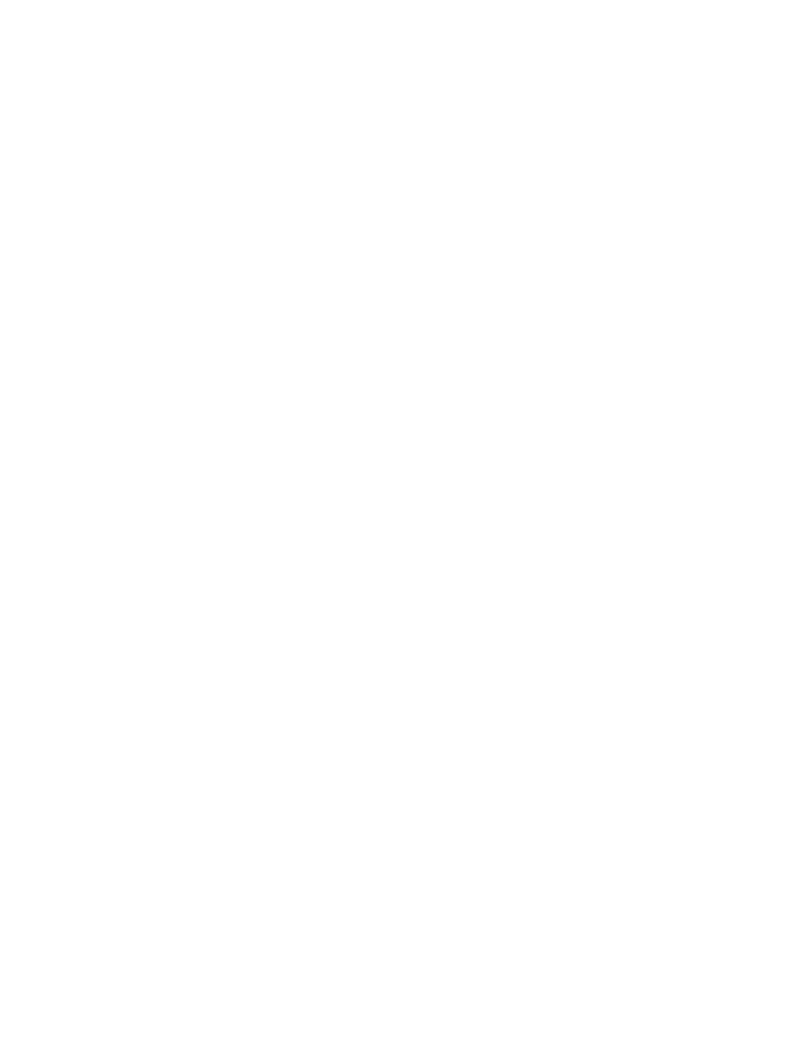|                        | : $3 / HMMU / 3 6XDUH 6Y$ |                  | 6)        |  |  |  | %DVH6FRUH 300 HU 6FRUHE\%DWMQJ2 UGHU<br>$8+8$<br>$8+8$<br>$8+8$<br>$8+8$<br>$8+8$<br>$9+8$<br>$10F$ $10F$ $10F$ $18 + 8$<br>$10F$ $10F$ $10F$ $18F$<br>$10F$ $10F$ $10F$ $10F$ $10F$ |  |  |  |  |  |
|------------------------|---------------------------|------------------|-----------|--|--|--|--------------------------------------------------------------------------------------------------------------------------------------------------------------------------------------|--|--|--|--|--|
|                        |                           |                  | %DW2 UGHU |  |  |  |                                                                                                                                                                                      |  |  |  |  |  |
| 300 HU                 | 7HDP                      | 3 RVIMRQ         |           |  |  |  |                                                                                                                                                                                      |  |  |  |  |  |
| 3HQFH                  | 6)                        | 5)               |           |  |  |  |                                                                                                                                                                                      |  |  |  |  |  |
| %URZ Q                 | 6)                        | &                |           |  |  |  |                                                                                                                                                                                      |  |  |  |  |  |
| & UDZ IRUG             | 6)                        | 66               |           |  |  |  |                                                                                                                                                                                      |  |  |  |  |  |
| 3RVH                   | 6)                        | $\%$             |           |  |  |  |                                                                                                                                                                                      |  |  |  |  |  |
| 1 XQH                  | 6)                        | $\%$             |           |  |  |  |                                                                                                                                                                                      |  |  |  |  |  |
| 3DJDQ                  | 6)                        | $\left( \right)$ |           |  |  |  |                                                                                                                                                                                      |  |  |  |  |  |
| 3DQIN                  | 6)                        | $\%$             |           |  |  |  |                                                                                                                                                                                      |  |  |  |  |  |
| 6SDQ                   | 6)                        | &)               |           |  |  |  |                                                                                                                                                                                      |  |  |  |  |  |
| 6XDUH                  | 6)                        | 3                |           |  |  |  |                                                                                                                                                                                      |  |  |  |  |  |
| 7 RP COVRQ             | 6)                        | $3+$             |           |  |  |  |                                                                                                                                                                                      |  |  |  |  |  |
| $\therefore$ LOODP VRQ | 6)                        | $3+$             |           |  |  |  |                                                                                                                                                                                      |  |  |  |  |  |

: 3 / HAMAU / 3 6XDUH 6Y & +& UF 3 HOFHLY7RS&ROMLEXMEULOG) ORV 5 RVIRU& +& LOZIO

6) #  $& 8 + & 8$ 

SOBIFRPXVDSSJR<br><u>LMQHWWDFN</u><br>"PW **HUIG** 

6) 6 FRUH%R[ 300\HU7RWDOV 0)<br>8+&<br>3 / HWMU /3 6XDUH 6Y & +& UF: %DW<br>7HDP 3RVLMLRQ 2LG 3 URGXFWDWW<br>5 DWM & UHGLV) RU5 XQ 3\$ %DMHV %5 %DVHV %DVHV3XVKHG 300 HU 6 FRUH \$SSHDUDGFHV  $300$  HU 3HQFH  $6)$  $5)$ %URZQ  $\alpha$  $6)$ & UDZ IRUG 6) 66 3RVH  $6)$  $\%$  $1 XCH$  $6)$  $\%$  $3D$ 6)  $\sqrt{}$  ) 3DQIN  $6)$  $\%$ 6 SDQ  $6)$ &) 6XDUH  $\mathbf{3}$  $6)$ 7 RP QQ ARQ  $6)$  $3+$ : LOODP VRQ  $6)$  $3+$ 7RW20V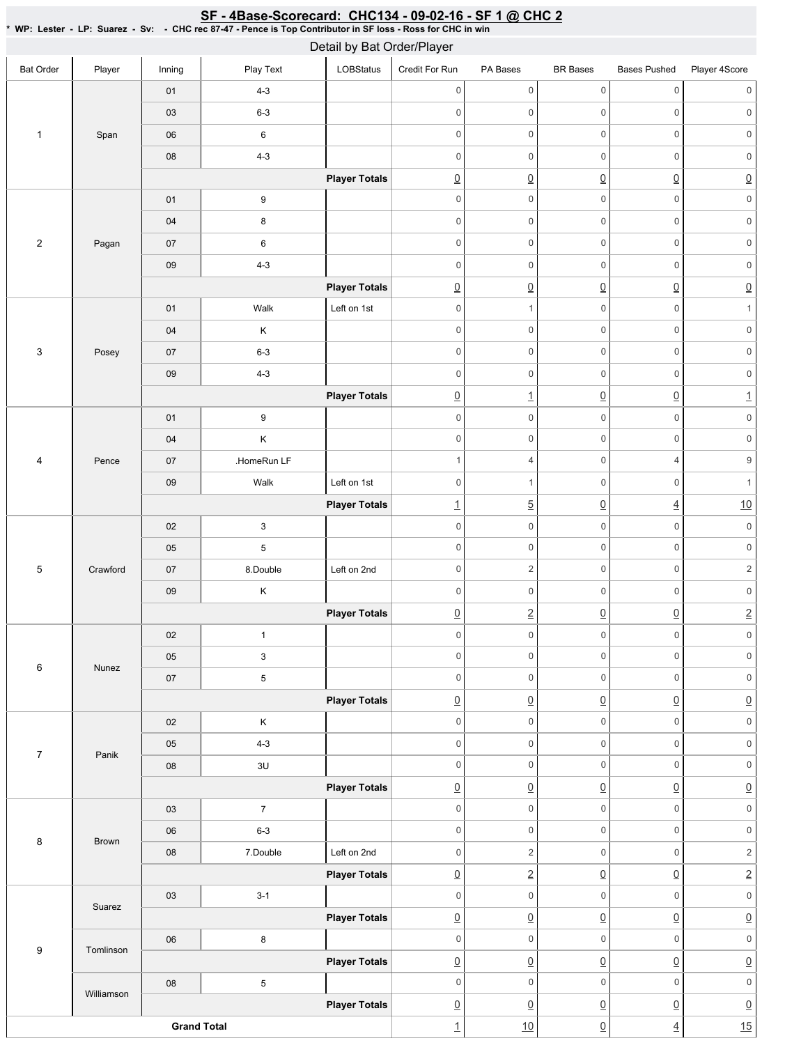|                           |            |                    | * WP: Lester - LP: Suarez - Sv: - CHC rec 87-47 - Pence is Top Contributor in SF loss - Ross for CHC in win | Detail by Bat Order/Player |                     |                     |                     |                     |                          |
|---------------------------|------------|--------------------|-------------------------------------------------------------------------------------------------------------|----------------------------|---------------------|---------------------|---------------------|---------------------|--------------------------|
| <b>Bat Order</b>          | Player     | Inning             | Play Text                                                                                                   | LOBStatus                  | Credit For Run      | PA Bases            | <b>BR</b> Bases     | <b>Bases Pushed</b> | Player 4Score            |
|                           |            | 01                 | $4 - 3$                                                                                                     |                            | $\mathsf{O}\xspace$ | $\mathsf{O}\xspace$ | $\mathsf 0$         | $\mathsf{O}\xspace$ | 0                        |
|                           |            | 03                 | $6 - 3$                                                                                                     |                            | $\mathbf 0$         | $\mathsf{O}\xspace$ | $\mathsf{O}\xspace$ | $\mathbf 0$         | $\mathbf 0$              |
| $\mathbf{1}$              | Span       | 06                 | 6                                                                                                           |                            | $\mathbf 0$         | $\mathsf{O}\xspace$ | $\mathbf 0$         | $\mathsf 0$         | $\mathsf{O}\xspace$      |
|                           |            | 08                 | $4 - 3$                                                                                                     |                            | $\mathbf 0$         | $\mathbf 0$         | $\mathsf 0$         | $\mathbf 0$         | $\mathbf 0$              |
|                           |            |                    |                                                                                                             | <b>Player Totals</b>       | $\underline{0}$     | $\underline{0}$     | $\overline{0}$      | $\underline{0}$     | $\underline{0}$          |
|                           |            | 01                 | 9                                                                                                           |                            | $\overline{0}$      | $\mathsf{O}\xspace$ | $\mathsf{O}\xspace$ | $\mathbf 0$         | $\mathsf{O}\xspace$      |
|                           |            | 04                 | 8                                                                                                           |                            | $\mathbf 0$         | $\mathsf{O}\xspace$ | $\mathbf 0$         | 0                   | $\mathsf{O}\xspace$      |
| $\sqrt{2}$                | Pagan      | $07\,$             | $\,6\,$                                                                                                     |                            | $\mathbf 0$         | $\mathsf{O}\xspace$ | $\mathbf 0$         | $\mathbf 0$         | $\mathsf{O}\xspace$      |
|                           |            | 09                 | $4 - 3$                                                                                                     |                            | $\mathbf 0$         | $\mathsf{O}\xspace$ | $\mathbf 0$         | $\mathbf 0$         | $\mathbf 0$              |
|                           |            |                    |                                                                                                             | <b>Player Totals</b>       | $\underline{0}$     | $\underline{0}$     | $\overline{0}$      | $\underline{0}$     | $\underline{0}$          |
|                           |            | 01                 | Walk                                                                                                        | Left on 1st                | $\mathbf 0$         | $\mathbf{1}$        | $\mathsf{O}\xspace$ | $\mathbf 0$         | $\mathbf{1}$             |
|                           |            | 04                 | $\sf K$                                                                                                     |                            | $\mathbf 0$         | $\mathsf{O}\xspace$ | $\mathsf{O}\xspace$ | $\mathbf 0$         | $\mathbf 0$              |
| $\ensuremath{\mathsf{3}}$ | Posey      | 07                 | $6 - 3$                                                                                                     |                            | $\mathsf 0$         | $\mathsf{O}\xspace$ | $\mathbf 0$         | $\mathbf 0$         | $\mathsf{O}\xspace$      |
|                           |            | 09                 | $4 - 3$                                                                                                     |                            | $\mathsf{O}\xspace$ | $\mathsf{O}\xspace$ | $\mathsf{O}\xspace$ | $\mathsf{O}\xspace$ | $\mathsf{O}\xspace$      |
|                           |            |                    |                                                                                                             | <b>Player Totals</b>       | $\underline{0}$     | $\overline{1}$      | $\overline{0}$      | $\underline{0}$     | $\underline{\mathbf{1}}$ |
|                           | Pence      | $01$               | 9                                                                                                           |                            | $\mathbf 0$         | $\mathsf{O}\xspace$ | $\mathbf 0$         | $\mathsf{O}\xspace$ | $\mathsf{O}\xspace$      |
|                           |            | 04                 | $\sf K$                                                                                                     |                            | $\mathbf 0$         | $\mathsf{O}\xspace$ | $\mathbf 0$         | $\mathsf{O}\xspace$ | $\mathsf{O}\xspace$      |
| 4                         |            | 07                 | .HomeRun LF                                                                                                 |                            | $\mathbf{1}$        | $\sqrt{4}$          | $\mathsf{O}\xspace$ | 4                   | $\boldsymbol{9}$         |
|                           |            | 09                 | Walk                                                                                                        | Left on 1st                | $\mathbf 0$         | $\mathbf{1}$        | $\mathbf 0$         | $\mathsf{O}\xspace$ | $\mathbf{1}$             |
|                           |            |                    |                                                                                                             | <b>Player Totals</b>       | $\overline{1}$      | $\overline{5}$      | $\overline{0}$      | $\underline{4}$     | 10                       |
|                           |            | $02\,$             | 3                                                                                                           |                            | $\mathbf 0$         | $\mathsf{O}\xspace$ | $\mathbf 0$         | $\mathsf{O}\xspace$ | $\mathsf{O}\xspace$      |
|                           |            | 05                 | 5                                                                                                           |                            | $\overline{0}$      | $\mathsf{O}\xspace$ | $\mathsf{O}\xspace$ | $\mathsf{O}\xspace$ | $\mathsf{O}\xspace$      |
| $\,$ 5 $\,$               | Crawford   | 07                 | 8.Double                                                                                                    | Left on 2nd                | $\mathbf 0$         | $\sqrt{2}$          | $\mathsf{O}\xspace$ | 0                   | $\sqrt{2}$               |
|                           |            | 09                 | $\sf K$                                                                                                     |                            | $\mathbf 0$         | $\mathsf{O}\xspace$ | $\mathsf 0$         | $\mathsf{O}\xspace$ | $\mathsf{O}\xspace$      |
|                           |            |                    |                                                                                                             | <b>Player Totals</b>       | $\mathsf{O}$        | $\overline{2}$      | $\overline{0}$      | $\overline{0}$      | $\overline{2}$           |
|                           | Nunez      | 02                 | $\mathbf{1}$                                                                                                |                            | $\mathbf 0$         | $\mathsf{O}\xspace$ | $\mathsf{O}\xspace$ | $\mathsf{O}\xspace$ | $\mathsf{O}\xspace$      |
| 6                         |            | 05                 | 3                                                                                                           |                            | $\mathbb O$         | $\mathsf{O}\xspace$ | $\mathbf 0$         | $\mathbf 0$         | $\mathsf{O}\xspace$      |
|                           |            | $07\,$             | 5                                                                                                           |                            | $\mathsf 0$         | $\mathbf 0$         | $\mathsf 0$         | $\mathsf{O}\xspace$ | $\mathsf{O}\xspace$      |
|                           |            |                    |                                                                                                             | <b>Player Totals</b>       | $\underline{0}$     | $\underline{0}$     | $\underline{0}$     | $\underline{0}$     | $\underline{0}$          |
|                           |            | $02\,$             | $\sf K$                                                                                                     |                            | $\mathbf 0$         | $\mathsf{O}\xspace$ | $\mathsf{O}\xspace$ | $\mathsf{O}\xspace$ | $\mathsf{O}\xspace$      |
| $\overline{7}$            | Panik      | 05                 | $4 - 3$                                                                                                     |                            | $\mathsf 0$         | $\mathsf{O}\xspace$ | $\mathbf 0$         | $\mathsf{O}\xspace$ | $\mathsf{O}\xspace$      |
|                           |            | ${\bf 08}$         | $3\mathsf{U}$                                                                                               |                            | $\mathsf 0$         | $\mathsf{O}\xspace$ | $\mathbf 0$         | $\mathsf{O}\xspace$ | $\mathsf{O}\xspace$      |
|                           |            |                    |                                                                                                             | <b>Player Totals</b>       | $\underline{0}$     | $\underline{0}$     | $\overline{0}$      | $\underline{0}$     | $\underline{0}$          |
|                           |            | 03                 | $\overline{7}$                                                                                              |                            | $\overline{0}$      | $\mathsf{O}\xspace$ | $\mathsf{O}\xspace$ | $\mathbf 0$         | $\mathsf{O}\xspace$      |
| 8                         | Brown      | 06                 | $6 - 3$                                                                                                     |                            | $\mathbf 0$         | $\mathsf{O}\xspace$ | $\mathsf 0$         | $\mathbf 0$         | $\mathsf{O}\xspace$      |
|                           |            | ${\bf 08}$         | 7.Double                                                                                                    | Left on 2nd                | $\mathbb O$         | $\sqrt{2}$          | $\mathbf 0$         | $\mathbf 0$         | $\sqrt{2}$               |
|                           |            |                    |                                                                                                             | <b>Player Totals</b>       | $\underline{0}$     | $\underline{2}$     | $\overline{0}$      | $\underline{0}$     | $\underline{2}$          |
|                           | Suarez     | 03                 | $3 - 1$                                                                                                     |                            | $\mathbb O$         | $\mathsf{O}$        | $\mathsf{O}\xspace$ | $\mathbf 0$         | $\mathsf{0}$             |
|                           |            |                    |                                                                                                             | <b>Player Totals</b>       | $\underline{0}$     | $\underline{0}$     | $\underline{0}$     | $\underline{0}$     | $\underline{0}$          |
| 9                         | Tomlinson  | $06\,$             | $\,8\,$                                                                                                     |                            | $\mathsf 0$         | $\mathbf 0$         | $\mathbf 0$         | $\mathbf 0$         | $\mathsf{O}\xspace$      |
|                           |            |                    |                                                                                                             | <b>Player Totals</b>       | $\underline{0}$     | $\underline{0}$     | $\overline{0}$      | $\underline{0}$     | $\underline{0}$          |
|                           | Williamson | ${\bf 08}$         | 5                                                                                                           |                            | $\mathbb O$         | $\mathsf{O}\xspace$ | $\mathsf{O}\xspace$ | $\mathsf{O}\xspace$ | $\mathsf{O}\xspace$      |
|                           |            |                    |                                                                                                             | <b>Player Totals</b>       | $\underline{0}$     | $\underline{0}$     | $\underline{0}$     | $\underline{0}$     | $\underline{0}$          |
|                           |            | <b>Grand Total</b> |                                                                                                             |                            | $\overline{1}$      | 10                  | $\underline{0}$     | $\underline{4}$     | 15                       |

SF - 4Base-Scorecard: CHC134 - 09-02-16 - SF 1 @ CHC 2